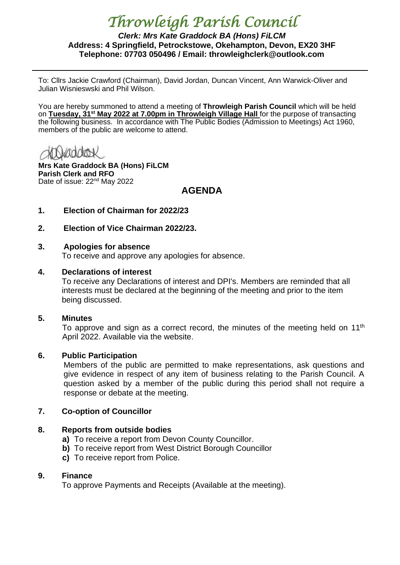# *Throwleigh Parish Council*

### *Clerk: Mrs Kate Graddock BA (Hons) FiLCM* **Address: 4 Springfield, Petrockstowe, Okehampton, Devon, EX20 3HF Telephone: 07703 050496 / Email: throwleighclerk@outlook.com**

To: Cllrs Jackie Crawford (Chairman), David Jordan, Duncan Vincent, Ann Warwick-Oliver and Julian Wisnieswski and Phil Wilson.

You are hereby summoned to attend a meeting of **Throwleigh Parish Council** which will be held on **Tuesday, 31st May 2022 at 7.00pm in Throwleigh Village Hall** for the purpose of transacting the following business. In accordance with The Public Bodies (Admission to Meetings) Act 1960, members of the public are welcome to attend.

**Mrs Kate Graddock BA (Hons) FiLCM Parish Clerk and RFO** Date of issue: 22<sup>nd</sup> May 2022

# **AGENDA**

- **1. Election of Chairman for 2022/23**
- **2. Election of Vice Chairman 2022/23.**

#### **3. Apologies for absence**

To receive and approve any apologies for absence.

#### **4. Declarations of interest**

To receive any Declarations of interest and DPI's. Members are reminded that all interests must be declared at the beginning of the meeting and prior to the item being discussed.

#### **5. Minutes**

To approve and sign as a correct record, the minutes of the meeting held on  $11<sup>th</sup>$ April 2022. Available via the website.

#### **6. Public Participation**

Members of the public are permitted to make representations, ask questions and give evidence in respect of any item of business relating to the Parish Council. A question asked by a member of the public during this period shall not require a response or debate at the meeting.

#### **7. Co-option of Councillor**

#### **8. Reports from outside bodies**

- **a)** To receive a report from Devon County Councillor.
- **b)** To receive report from West District Borough Councillor
- **c)** To receive report from Police.

#### **9. Finance**

To approve Payments and Receipts (Available at the meeting).